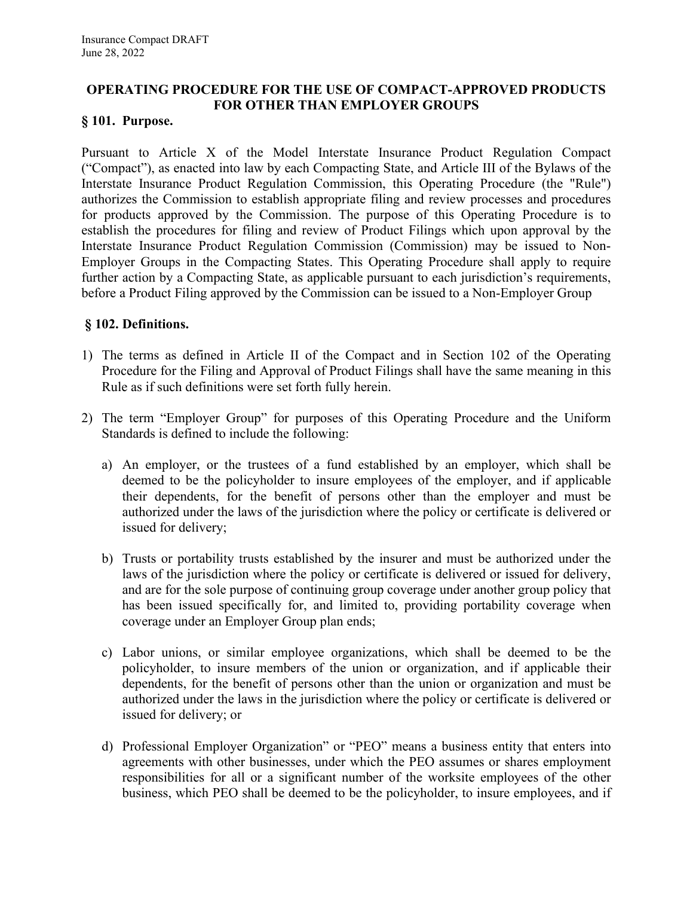# **OPERATING PROCEDURE FOR THE USE OF COMPACT-APPROVED PRODUCTS FOR OTHER THAN EMPLOYER GROUPS**

### **§ 101. Purpose.**

Pursuant to Article X of the Model Interstate Insurance Product Regulation Compact ("Compact"), as enacted into law by each Compacting State, and Article III of the Bylaws of the Interstate Insurance Product Regulation Commission, this Operating Procedure (the "Rule") authorizes the Commission to establish appropriate filing and review processes and procedures for products approved by the Commission. The purpose of this Operating Procedure is to establish the procedures for filing and review of Product Filings which upon approval by the Interstate Insurance Product Regulation Commission (Commission) may be issued to Non-Employer Groups in the Compacting States. This Operating Procedure shall apply to require further action by a Compacting State, as applicable pursuant to each jurisdiction's requirements, before a Product Filing approved by the Commission can be issued to a Non-Employer Group

#### **§ 102. Definitions.**

- 1) The terms as defined in Article II of the Compact and in Section 102 of the Operating Procedure for the Filing and Approval of Product Filings shall have the same meaning in this Rule as if such definitions were set forth fully herein.
- 2) The term "Employer Group" for purposes of this Operating Procedure and the Uniform Standards is defined to include the following:
	- a) An employer, or the trustees of a fund established by an employer, which shall be deemed to be the policyholder to insure employees of the employer, and if applicable their dependents, for the benefit of persons other than the employer and must be authorized under the laws of the jurisdiction where the policy or certificate is delivered or issued for delivery;
	- b) Trusts or portability trusts established by the insurer and must be authorized under the laws of the jurisdiction where the policy or certificate is delivered or issued for delivery, and are for the sole purpose of continuing group coverage under another group policy that has been issued specifically for, and limited to, providing portability coverage when coverage under an Employer Group plan ends;
	- c) Labor unions, or similar employee organizations, which shall be deemed to be the policyholder, to insure members of the union or organization, and if applicable their dependents, for the benefit of persons other than the union or organization and must be authorized under the laws in the jurisdiction where the policy or certificate is delivered or issued for delivery; or
	- d) Professional Employer Organization" or "PEO" means a business entity that enters into agreements with other businesses, under which the PEO assumes or shares employment responsibilities for all or a significant number of the worksite employees of the other business, which PEO shall be deemed to be the policyholder, to insure employees, and if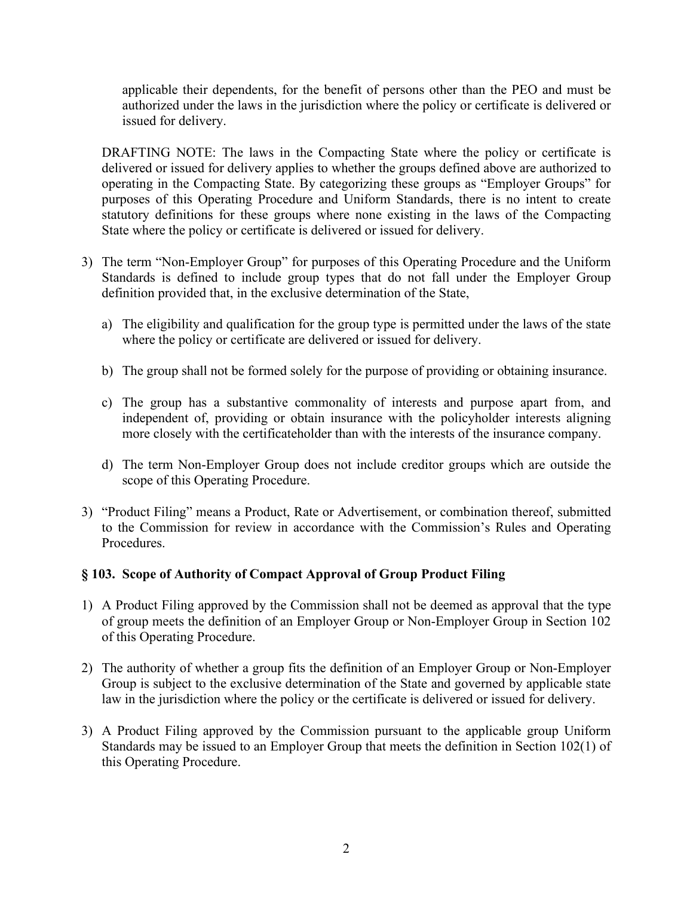applicable their dependents, for the benefit of persons other than the PEO and must be authorized under the laws in the jurisdiction where the policy or certificate is delivered or issued for delivery.

DRAFTING NOTE: The laws in the Compacting State where the policy or certificate is delivered or issued for delivery applies to whether the groups defined above are authorized to operating in the Compacting State. By categorizing these groups as "Employer Groups" for purposes of this Operating Procedure and Uniform Standards, there is no intent to create statutory definitions for these groups where none existing in the laws of the Compacting State where the policy or certificate is delivered or issued for delivery.

- 3) The term "Non-Employer Group" for purposes of this Operating Procedure and the Uniform Standards is defined to include group types that do not fall under the Employer Group definition provided that, in the exclusive determination of the State,
	- a) The eligibility and qualification for the group type is permitted under the laws of the state where the policy or certificate are delivered or issued for delivery.
	- b) The group shall not be formed solely for the purpose of providing or obtaining insurance.
	- c) The group has a substantive commonality of interests and purpose apart from, and independent of, providing or obtain insurance with the policyholder interests aligning more closely with the certificateholder than with the interests of the insurance company.
	- d) The term Non-Employer Group does not include creditor groups which are outside the scope of this Operating Procedure.
- 3) "Product Filing" means a Product, Rate or Advertisement, or combination thereof, submitted to the Commission for review in accordance with the Commission's Rules and Operating Procedures.

# **§ 103. Scope of Authority of Compact Approval of Group Product Filing**

- 1) A Product Filing approved by the Commission shall not be deemed as approval that the type of group meets the definition of an Employer Group or Non-Employer Group in Section 102 of this Operating Procedure.
- 2) The authority of whether a group fits the definition of an Employer Group or Non-Employer Group is subject to the exclusive determination of the State and governed by applicable state law in the jurisdiction where the policy or the certificate is delivered or issued for delivery.
- 3) A Product Filing approved by the Commission pursuant to the applicable group Uniform Standards may be issued to an Employer Group that meets the definition in Section 102(1) of this Operating Procedure.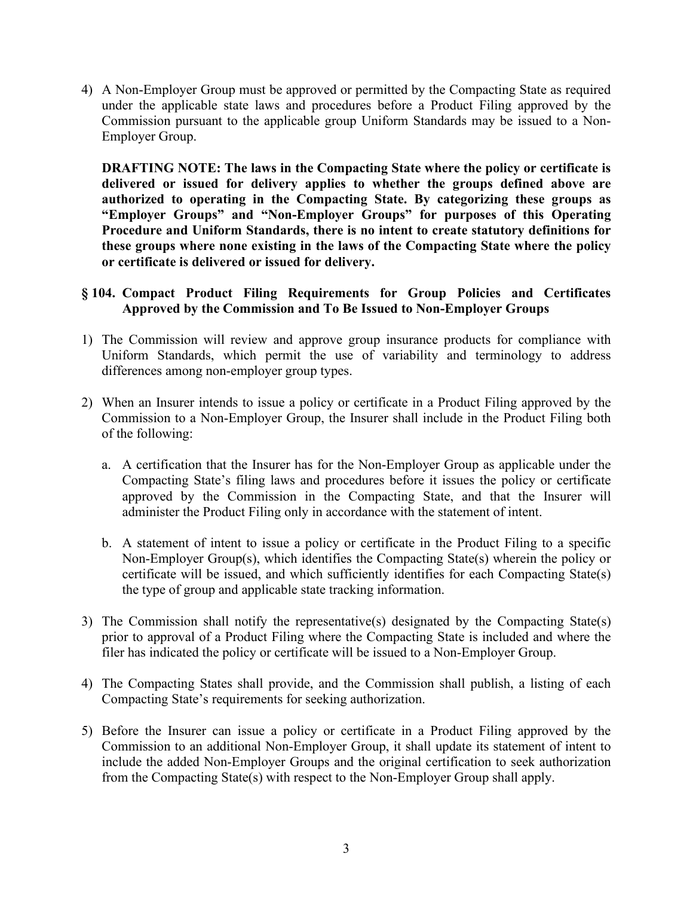4) A Non-Employer Group must be approved or permitted by the Compacting State as required under the applicable state laws and procedures before a Product Filing approved by the Commission pursuant to the applicable group Uniform Standards may be issued to a Non-Employer Group.

**DRAFTING NOTE: The laws in the Compacting State where the policy or certificate is delivered or issued for delivery applies to whether the groups defined above are authorized to operating in the Compacting State. By categorizing these groups as "Employer Groups" and "Non-Employer Groups" for purposes of this Operating Procedure and Uniform Standards, there is no intent to create statutory definitions for these groups where none existing in the laws of the Compacting State where the policy or certificate is delivered or issued for delivery.**

### **§ 104. Compact Product Filing Requirements for Group Policies and Certificates Approved by the Commission and To Be Issued to Non-Employer Groups**

- 1) The Commission will review and approve group insurance products for compliance with Uniform Standards, which permit the use of variability and terminology to address differences among non-employer group types.
- 2) When an Insurer intends to issue a policy or certificate in a Product Filing approved by the Commission to a Non-Employer Group, the Insurer shall include in the Product Filing both of the following:
	- a. A certification that the Insurer has for the Non-Employer Group as applicable under the Compacting State's filing laws and procedures before it issues the policy or certificate approved by the Commission in the Compacting State, and that the Insurer will administer the Product Filing only in accordance with the statement of intent.
	- b. A statement of intent to issue a policy or certificate in the Product Filing to a specific Non-Employer Group(s), which identifies the Compacting State(s) wherein the policy or certificate will be issued, and which sufficiently identifies for each Compacting State(s) the type of group and applicable state tracking information.
- 3) The Commission shall notify the representative(s) designated by the Compacting State(s) prior to approval of a Product Filing where the Compacting State is included and where the filer has indicated the policy or certificate will be issued to a Non-Employer Group.
- 4) The Compacting States shall provide, and the Commission shall publish, a listing of each Compacting State's requirements for seeking authorization.
- 5) Before the Insurer can issue a policy or certificate in a Product Filing approved by the Commission to an additional Non-Employer Group, it shall update its statement of intent to include the added Non-Employer Groups and the original certification to seek authorization from the Compacting State(s) with respect to the Non-Employer Group shall apply.